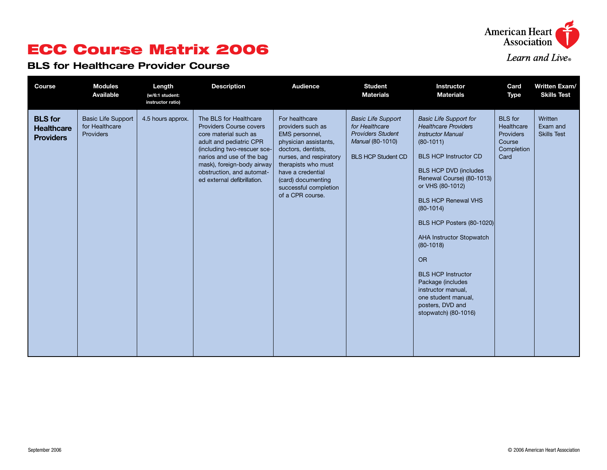

# ECC Course Matrix 2006

#### BLS for Healthcare Provider Course

| <b>Course</b>                                           | <b>Modules</b><br>Available                              | Length<br>(w/6:1 student:<br>instructor ratio) | <b>Description</b>                                                                                                                                                                                                                                                 | <b>Audience</b>                                                                                                                                                                                                                                | <b>Student</b><br><b>Materials</b>                                                                                       | Instructor<br><b>Materials</b>                                                                                                                                                                                                                                                                                                                                                                                                                                                                               | Card<br><b>Type</b>                                                              | <b>Written Exam/</b><br><b>Skills Test</b> |
|---------------------------------------------------------|----------------------------------------------------------|------------------------------------------------|--------------------------------------------------------------------------------------------------------------------------------------------------------------------------------------------------------------------------------------------------------------------|------------------------------------------------------------------------------------------------------------------------------------------------------------------------------------------------------------------------------------------------|--------------------------------------------------------------------------------------------------------------------------|--------------------------------------------------------------------------------------------------------------------------------------------------------------------------------------------------------------------------------------------------------------------------------------------------------------------------------------------------------------------------------------------------------------------------------------------------------------------------------------------------------------|----------------------------------------------------------------------------------|--------------------------------------------|
| <b>BLS</b> for<br><b>Healthcare</b><br><b>Providers</b> | <b>Basic Life Support</b><br>for Healthcare<br>Providers | 4.5 hours approx.                              | The BLS for Healthcare<br><b>Providers Course covers</b><br>core material such as<br>adult and pediatric CPR<br>(including two-rescuer sce-<br>narios and use of the bag<br>mask), foreign-body airway<br>obstruction, and automat-<br>ed external defibrillation. | For healthcare<br>providers such as<br>EMS personnel,<br>physician assistants,<br>doctors, dentists,<br>nurses, and respiratory<br>therapists who must<br>have a credential<br>(card) documenting<br>successful completion<br>of a CPR course. | <b>Basic Life Support</b><br>for Healthcare<br><b>Providers Student</b><br>Manual (80-1010)<br><b>BLS HCP Student CD</b> | <b>Basic Life Support for</b><br><b>Healthcare Providers</b><br><b>Instructor Manual</b><br>$(80-1011)$<br><b>BLS HCP Instructor CD</b><br><b>BLS HCP DVD (includes</b><br>Renewal Course) (80-1013)<br>or VHS (80-1012)<br><b>BLS HCP Renewal VHS</b><br>$(80-1014)$<br>BLS HCP Posters (80-1020)<br><b>AHA Instructor Stopwatch</b><br>$(80-1018)$<br><b>OR</b><br><b>BLS HCP Instructor</b><br>Package (includes<br>instructor manual,<br>one student manual,<br>posters, DVD and<br>stopwatch) (80-1016) | <b>BLS</b> for<br>Healthcare<br><b>Providers</b><br>Course<br>Completion<br>Card | Written<br>Exam and<br><b>Skills Test</b>  |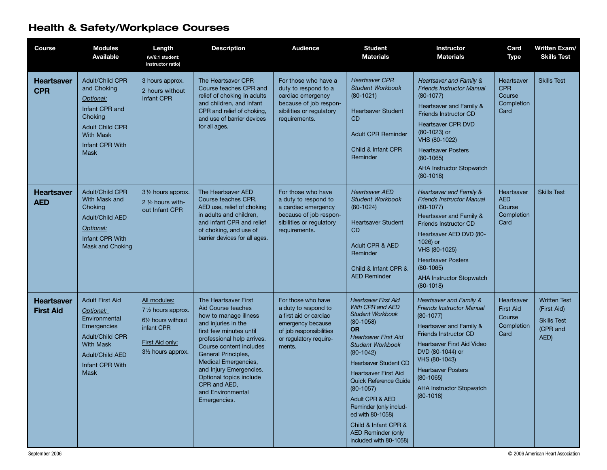### Health & Safety/Workplace Courses

| <b>Course</b>                         | <b>Modules</b><br><b>Available</b>                                                                                                                                            | Length<br>(w/6:1 student:<br>instructor ratio)                                                                  | <b>Description</b>                                                                                                                                                                                                                                                                                                                              | <b>Audience</b>                                                                                                                                          | <b>Student</b><br><b>Materials</b>                                                                                                                                                                                                                                                                                                                                                                                                     | <b>Instructor</b><br><b>Materials</b>                                                                                                                                                                                                                                                                  | Card<br><b>Type</b>                                            | Written Exam/<br><b>Skills Test</b>                                          |
|---------------------------------------|-------------------------------------------------------------------------------------------------------------------------------------------------------------------------------|-----------------------------------------------------------------------------------------------------------------|-------------------------------------------------------------------------------------------------------------------------------------------------------------------------------------------------------------------------------------------------------------------------------------------------------------------------------------------------|----------------------------------------------------------------------------------------------------------------------------------------------------------|----------------------------------------------------------------------------------------------------------------------------------------------------------------------------------------------------------------------------------------------------------------------------------------------------------------------------------------------------------------------------------------------------------------------------------------|--------------------------------------------------------------------------------------------------------------------------------------------------------------------------------------------------------------------------------------------------------------------------------------------------------|----------------------------------------------------------------|------------------------------------------------------------------------------|
| <b>Heartsaver</b><br><b>CPR</b>       | <b>Adult/Child CPR</b><br>and Choking<br>Optional:<br>Infant CPR and<br>Choking<br><b>Adult Child CPR</b><br><b>With Mask</b><br>Infant CPR With<br><b>Mask</b>               | 3 hours approx.<br>2 hours without<br>Infant CPR                                                                | The Heartsaver CPR<br>Course teaches CPR and<br>relief of choking in adults<br>and children, and infant<br>CPR and relief of choking.<br>and use of barrier devices<br>for all ages.                                                                                                                                                            | For those who have a<br>duty to respond to a<br>cardiac emergency<br>because of job respon-<br>sibilities or regulatory<br>requirements.                 | <b>Heartsaver CPR</b><br><b>Student Workbook</b><br>$(80-1021)$<br><b>Heartsaver Student</b><br><b>CD</b><br><b>Adult CPR Reminder</b><br>Child & Infant CPR<br>Reminder                                                                                                                                                                                                                                                               | Heartsaver and Family &<br><b>Friends Instructor Manual</b><br>$(80-1077)$<br>Heartsaver and Family &<br><b>Friends Instructor CD</b><br><b>Heartsaver CPR DVD</b><br>(80-1023) or<br>VHS (80-1022)<br><b>Heartsaver Posters</b><br>$(80-1065)$<br><b>AHA Instructor Stopwatch</b><br>$(80-1018)$      | Heartsaver<br><b>CPR</b><br>Course<br>Completion<br>Card       | <b>Skills Test</b>                                                           |
| <b>Heartsaver</b><br><b>AED</b>       | <b>Adult/Child CPR</b><br>With Mask and<br>Choking<br><b>Adult/Child AED</b><br>Optional:<br>Infant CPR With<br>Mask and Choking                                              | 31/2 hours approx.<br>2 1/2 hours with-<br>out Infant CPR                                                       | The Heartsaver AED<br>Course teaches CPR,<br>AED use, relief of choking<br>in adults and children,<br>and infant CPR and relief<br>of choking, and use of<br>barrier devices for all ages.                                                                                                                                                      | For those who have<br>a duty to respond to<br>a cardiac emergency<br>because of job respon-<br>sibilities or regulatory<br>requirements.                 | <b>Heartsaver AED</b><br><b>Student Workbook</b><br>$(80-1024)$<br><b>Heartsaver Student</b><br><b>CD</b><br>Adult CPR & AED<br>Reminder<br>Child & Infant CPR &<br><b>AED Reminder</b>                                                                                                                                                                                                                                                | Heartsaver and Family &<br><b>Friends Instructor Manual</b><br>$(80-1077)$<br>Heartsaver and Family &<br>Friends Instructor CD<br>Heartsaver AED DVD (80-<br>1026) or<br>VHS (80-1025)<br><b>Heartsaver Posters</b><br>$(80-1065)$<br><b>AHA Instructor Stopwatch</b><br>$(80-1018)$                   | Heartsaver<br><b>AED</b><br>Course<br>Completion<br>Card       | <b>Skills Test</b>                                                           |
| <b>Heartsaver</b><br><b>First Aid</b> | <b>Adult First Aid</b><br>Optional:<br>Environmental<br>Emergencies<br><b>Adult/Child CPR</b><br><b>With Mask</b><br><b>Adult/Child AED</b><br>Infant CPR With<br><b>Mask</b> | All modules:<br>71/2 hours approx.<br>61/2 hours without<br>infant CPR<br>First Aid only:<br>31/2 hours approx. | The Heartsaver First<br>Aid Course teaches<br>how to manage illness<br>and injuries in the<br>first few minutes until<br>professional help arrives.<br>Course content includes<br><b>General Principles,</b><br>Medical Emergencies,<br>and Injury Emergencies.<br>Optional topics include<br>CPR and AED,<br>and Environmental<br>Emergencies. | For those who have<br>a duty to respond to<br>a first aid or cardiac<br>emergency because<br>of job responsibilities<br>or regulatory require-<br>ments. | <b>Heartsaver First Aid</b><br>With CPR and AED<br><b>Student Workbook</b><br>$(80-1058)$<br><b>OR</b><br><b>Heartsaver First Aid</b><br><b>Student Workbook</b><br>$(80-1042)$<br><b>Heartsaver Student CD</b><br><b>Heartsaver First Aid</b><br>Quick Reference Guide<br>$(80-1057)$<br>Adult CPR & AED<br>Reminder (only includ-<br>ed with 80-1058)<br>Child & Infant CPR &<br><b>AED Reminder (only</b><br>included with 80-1058) | Heartsaver and Family &<br><b>Friends Instructor Manual</b><br>$(80-1077)$<br>Heartsaver and Family &<br><b>Friends Instructor CD</b><br>Heartsaver First Aid Video<br>DVD (80-1044) or<br>VHS (80-1043)<br><b>Heartsaver Posters</b><br>$(80-1065)$<br><b>AHA Instructor Stopwatch</b><br>$(80-1018)$ | Heartsaver<br><b>First Aid</b><br>Course<br>Completion<br>Card | <b>Written Test</b><br>(First Aid)<br><b>Skills Test</b><br>(CPR and<br>AED) |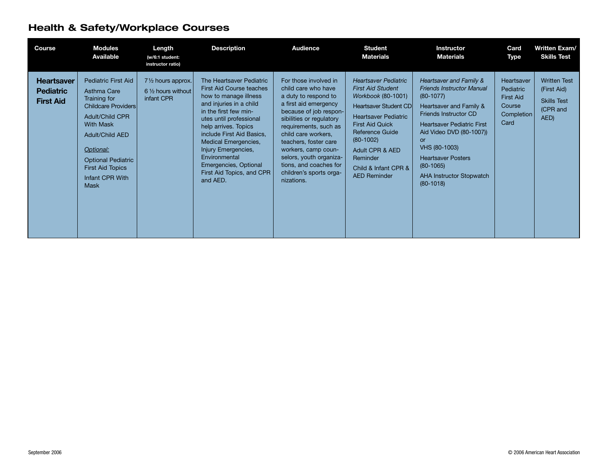### Health & Safety/Workplace Courses

| Course                                                    | <b>Modules</b><br>Available                                                                                                                                                                                                                                     | Length<br>(w/6:1 student:<br>instructor ratio)                   | <b>Description</b>                                                                                                                                                                                                                                                                                                                                         | <b>Audience</b>                                                                                                                                                                                                                                                                                                                                   | <b>Student</b><br><b>Materials</b>                                                                                                                                                                                                                                                     | <b>Instructor</b><br><b>Materials</b>                                                                                                                                                                                                                                                                                       | Card<br>Type                                                                | <b>Written Exam/</b><br><b>Skills Test</b>                                   |
|-----------------------------------------------------------|-----------------------------------------------------------------------------------------------------------------------------------------------------------------------------------------------------------------------------------------------------------------|------------------------------------------------------------------|------------------------------------------------------------------------------------------------------------------------------------------------------------------------------------------------------------------------------------------------------------------------------------------------------------------------------------------------------------|---------------------------------------------------------------------------------------------------------------------------------------------------------------------------------------------------------------------------------------------------------------------------------------------------------------------------------------------------|----------------------------------------------------------------------------------------------------------------------------------------------------------------------------------------------------------------------------------------------------------------------------------------|-----------------------------------------------------------------------------------------------------------------------------------------------------------------------------------------------------------------------------------------------------------------------------------------------------------------------------|-----------------------------------------------------------------------------|------------------------------------------------------------------------------|
| <b>Heartsaver</b><br><b>Pediatric</b><br><b>First Aid</b> | <b>Pediatric First Aid</b><br>Asthma Care<br>Training for<br>Childcare Providers<br><b>Adult/Child CPR</b><br><b>With Mask</b><br><b>Adult/Child AED</b><br>Optional:<br><b>Optional Pediatric</b><br><b>First Aid Topics</b><br>Infant CPR With<br><b>Mask</b> | 71/2 hours approx.<br>$6\frac{1}{2}$ hours without<br>infant CPR | The Heartsaver Pediatric<br><b>First Aid Course teaches</b><br>how to manage illness<br>and injuries in a child<br>in the first few min-<br>utes until professional<br>help arrives. Topics<br>include First Aid Basics,<br>Medical Emergencies,<br>Injury Emergencies,<br>Environmental<br>Emergencies, Optional<br>First Aid Topics, and CPR<br>and AED. | For those involved in<br>child care who have<br>a duty to respond to<br>a first aid emergency<br>because of job respon-<br>sibilities or regulatory<br>requirements, such as<br>child care workers,<br>teachers, foster care<br>workers, camp coun-<br>selors, youth organiza-<br>tions, and coaches for<br>children's sports orga-<br>nizations. | <b>Heartsaver Pediatric</b><br><b>First Aid Student</b><br>Workbook (80-1001)<br><b>Heartsaver Student CD</b><br><b>Heartsaver Pediatric</b><br><b>First Aid Quick</b><br>Reference Guide<br>$(80-1002)$<br>Adult CPR & AED<br>Reminder<br>Child & Infant CPR &<br><b>AED Reminder</b> | Heartsaver and Family &<br><b>Friends Instructor Manual</b><br>$(80-1077)$<br>Heartsaver and Family &<br><b>Friends Instructor CD</b><br><b>Heartsaver Pediatric First</b><br>Aid Video DVD (80-1007))<br>or<br>VHS (80-1003)<br><b>Heartsaver Posters</b><br>$(80-1065)$<br><b>AHA Instructor Stopwatch</b><br>$(80-1018)$ | Heartsaver<br>Pediatric<br><b>First Aid</b><br>Course<br>Completion<br>Card | <b>Written Test</b><br>(First Aid)<br><b>Skills Test</b><br>(CPR and<br>AED) |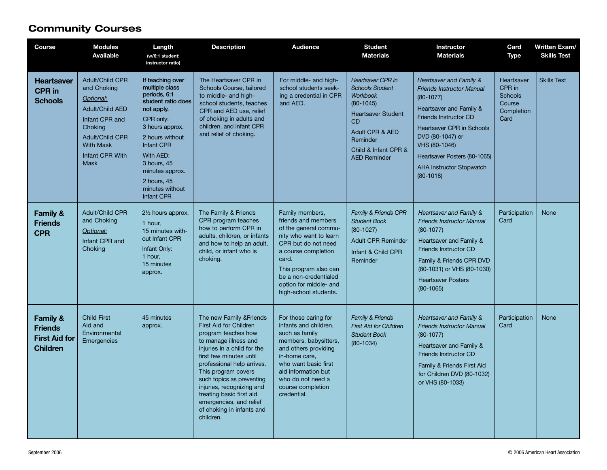#### Community Courses

| Course                                                                           | <b>Modules</b><br><b>Available</b>                                                                                                                                                        | Length<br>(w/6:1 student:<br>instructor ratio)                                                                                                                                                                                                         | <b>Description</b>                                                                                                                                                                                                                                                                                                                                                           | <b>Audience</b>                                                                                                                                                                                                                                       | <b>Student</b><br><b>Materials</b>                                                                                                                                                                           | Instructor<br><b>Materials</b>                                                                                                                                                                                                                                                            | Card<br>Type                                                           | Written Exam/<br><b>Skills Test</b> |
|----------------------------------------------------------------------------------|-------------------------------------------------------------------------------------------------------------------------------------------------------------------------------------------|--------------------------------------------------------------------------------------------------------------------------------------------------------------------------------------------------------------------------------------------------------|------------------------------------------------------------------------------------------------------------------------------------------------------------------------------------------------------------------------------------------------------------------------------------------------------------------------------------------------------------------------------|-------------------------------------------------------------------------------------------------------------------------------------------------------------------------------------------------------------------------------------------------------|--------------------------------------------------------------------------------------------------------------------------------------------------------------------------------------------------------------|-------------------------------------------------------------------------------------------------------------------------------------------------------------------------------------------------------------------------------------------------------------------------------------------|------------------------------------------------------------------------|-------------------------------------|
| <b>Heartsaver</b><br><b>CPR</b> in<br><b>Schools</b>                             | <b>Adult/Child CPR</b><br>and Choking<br>Optional:<br><b>Adult/Child AED</b><br>Infant CPR and<br>Choking<br><b>Adult/Child CPR</b><br><b>With Mask</b><br>Infant CPR With<br><b>Mask</b> | If teaching over<br>multiple class<br>periods, 6:1<br>student ratio does<br>not apply.<br>CPR only:<br>3 hours approx.<br>2 hours without<br>Infant CPR<br>With AED:<br>3 hours, 45<br>minutes approx.<br>2 hours, 45<br>minutes without<br>Infant CPR | The Heartsaver CPR in<br>Schools Course, tailored<br>to middle- and high-<br>school students, teaches<br>CPR and AED use, relief<br>of choking in adults and<br>children, and infant CPR<br>and relief of choking.                                                                                                                                                           | For middle- and high-<br>school students seek-<br>ing a credential in CPR<br>and AED.                                                                                                                                                                 | <b>Heartsaver CPR in</b><br><b>Schools Student</b><br><b>Workbook</b><br>$(80-1045)$<br><b>Heartsaver Student</b><br><b>CD</b><br>Adult CPR & AED<br>Reminder<br>Child & Infant CPR &<br><b>AED Reminder</b> | Heartsaver and Family &<br><b>Friends Instructor Manual</b><br>$(80-1077)$<br>Heartsaver and Family &<br><b>Friends Instructor CD</b><br>Heartsaver CPR in Schools<br>DVD (80-1047) or<br>VHS (80-1046)<br>Heartsaver Posters (80-1065)<br><b>AHA Instructor Stopwatch</b><br>$(80-1018)$ | Heartsaver<br>CPR in<br><b>Schools</b><br>Course<br>Completion<br>Card | <b>Skills Test</b>                  |
| <b>Family &amp;</b><br><b>Friends</b><br><b>CPR</b>                              | <b>Adult/Child CPR</b><br>and Choking<br>Optional:<br>Infant CPR and<br>Choking                                                                                                           | 21/2 hours approx.<br>1 hour,<br>15 minutes with-<br>out Infant CPR<br>Infant Only:<br>1 hour,<br>15 minutes<br>approx.                                                                                                                                | The Family & Friends<br>CPR program teaches<br>how to perform CPR in<br>adults, children, or infants<br>and how to help an adult,<br>child, or infant who is<br>choking.                                                                                                                                                                                                     | Family members,<br>friends and members<br>of the general commu-<br>nity who want to learn<br>CPR but do not need<br>a course completion<br>card.<br>This program also can<br>be a non-credentialed<br>option for middle- and<br>high-school students. | Family & Friends CPR<br><b>Student Book</b><br>$(80-1027)$<br><b>Adult CPR Reminder</b><br>Infant & Child CPR<br>Reminder                                                                                    | Heartsaver and Family &<br><b>Friends Instructor Manual</b><br>$(80-1077)$<br>Heartsaver and Family &<br><b>Friends Instructor CD</b><br>Family & Friends CPR DVD<br>(80-1031) or VHS (80-1030)<br><b>Heartsaver Posters</b><br>$(80-1065)$                                               | Participation<br>Card                                                  | <b>None</b>                         |
| <b>Family &amp;</b><br><b>Friends</b><br><b>First Aid for</b><br><b>Children</b> | <b>Child First</b><br>Aid and<br>Environmental<br>Emergencies                                                                                                                             | 45 minutes<br>approx.                                                                                                                                                                                                                                  | The new Family & Friends<br>First Aid for Children<br>program teaches how<br>to manage illness and<br>injuries in a child for the<br>first few minutes until<br>professional help arrives.<br>This program covers<br>such topics as preventing<br>injuries, recognizing and<br>treating basic first aid<br>emergencies, and relief<br>of choking in infants and<br>children. | For those caring for<br>infants and children,<br>such as family<br>members, babysitters,<br>and others providing<br>in-home care,<br>who want basic first<br>aid information but<br>who do not need a<br>course completion<br>credential.             | Family & Friends<br><b>First Aid for Children</b><br><b>Student Book</b><br>$(80 - 1034)$                                                                                                                    | Heartsaver and Family &<br><b>Friends Instructor Manual</b><br>$(80-1077)$<br>Heartsaver and Family &<br><b>Friends Instructor CD</b><br>Family & Friends First Aid<br>for Children DVD (80-1032)<br>or VHS (80-1033)                                                                     | Participation<br>Card                                                  | None                                |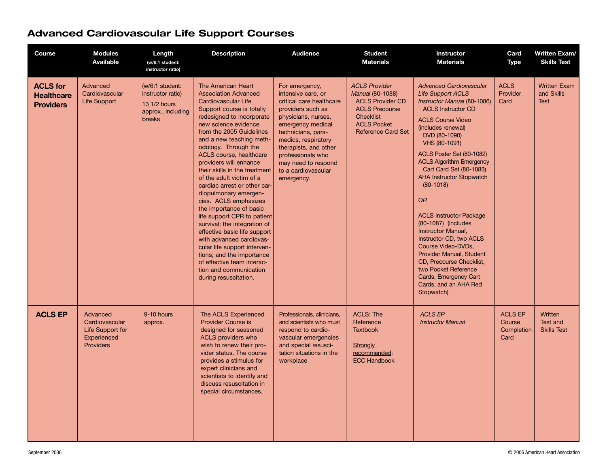| <b>Course</b>                                            | <b>Modules</b><br><b>Available</b>                                                | Length<br>(w/6:1 student:<br>instructor ratio)                                       | <b>Description</b>                                                                                                                                                                                                                                                                                                                                                                                                                                                                                                                                                                                                                                                                                                                                 | <b>Audience</b>                                                                                                                                                                                                                                                                          | <b>Student</b><br><b>Materials</b>                                                                                                                                         | Instructor<br><b>Materials</b>                                                                                                                                                                                                                                                                                                                                                                                                                                                                                                                                                                                                                       | Card<br><b>Type</b>                            | <b>Written Exam/</b><br><b>Skills Test</b>       |
|----------------------------------------------------------|-----------------------------------------------------------------------------------|--------------------------------------------------------------------------------------|----------------------------------------------------------------------------------------------------------------------------------------------------------------------------------------------------------------------------------------------------------------------------------------------------------------------------------------------------------------------------------------------------------------------------------------------------------------------------------------------------------------------------------------------------------------------------------------------------------------------------------------------------------------------------------------------------------------------------------------------------|------------------------------------------------------------------------------------------------------------------------------------------------------------------------------------------------------------------------------------------------------------------------------------------|----------------------------------------------------------------------------------------------------------------------------------------------------------------------------|------------------------------------------------------------------------------------------------------------------------------------------------------------------------------------------------------------------------------------------------------------------------------------------------------------------------------------------------------------------------------------------------------------------------------------------------------------------------------------------------------------------------------------------------------------------------------------------------------------------------------------------------------|------------------------------------------------|--------------------------------------------------|
| <b>ACLS for</b><br><b>Healthcare</b><br><b>Providers</b> | Advanced<br>Cardiovascular<br><b>Life Support</b>                                 | (w/6:1 student:<br>instructor ratio)<br>13 1/2 hours<br>approx., including<br>breaks | The American Heart<br><b>Association Advanced</b><br>Cardiovascular Life<br>Support course is totally<br>redesigned to incorporate<br>new science evidence<br>from the 2005 Guidelines<br>and a new teaching meth-<br>odology. Through the<br>ACLS course, healthcare<br>providers will enhance<br>their skills in the treatment<br>of the adult victim of a<br>cardiac arrest or other car-<br>diopulmonary emergen-<br>cies. ACLS emphasizes<br>the importance of basic<br>life support CPR to patient<br>survival; the integration of<br>effective basic life support<br>with advanced cardiovas-<br>cular life support interven-<br>tions; and the importance<br>of effective team interac-<br>tion and communication<br>during resuscitation. | For emergency,<br>intensive care, or<br>critical care healthcare<br>providers such as<br>physicians, nurses,<br>emergency medical<br>technicians, para-<br>medics, respiratory<br>therapists, and other<br>professionals who<br>may need to respond<br>to a cardiovascular<br>emergency. | <b>ACLS Provider</b><br><b>Manual (80-1088)</b><br><b>ACLS Provider CD</b><br><b>ACLS Precourse</b><br><b>Checklist</b><br><b>ACLS Pocket</b><br><b>Reference Card Set</b> | <b>Advanced Cardiovascular</b><br><b>Life Support ACLS</b><br>Instructor Manual (80-1086)<br><b>ACLS Instructor CD</b><br><b>ACLS Course Video</b><br>(includes renewal)<br>DVD (80-1090)<br>VHS (80-1091)<br>ACLS Poster Set (80-1082)<br><b>ACLS Algorithm Emergency</b><br>Cart Card Set (80-1083)<br><b>AHA Instructor Stopwatch</b><br>$(80-1018)$<br><b>OR</b><br><b>ACLS Instructor Package</b><br>(80-1087) (includes<br>Instructor Manual,<br>Instructor CD, two ACLS<br>Course Video-DVDs,<br>Provider Manual, Student<br>CD. Precourse Checklist.<br>two Pocket Reference<br>Cards, Emergency Cart<br>Cards, and an AHA Red<br>Stopwatch) | <b>ACLS</b><br>Provider<br>Card                | <b>Written Exam</b><br>and Skills<br><b>Test</b> |
| <b>ACLS EP</b>                                           | Advanced<br>Cardiovascular<br>Life Support for<br>Experienced<br><b>Providers</b> | 9-10 hours<br>approx.                                                                | The ACLS Experienced<br><b>Provider Course is</b><br>designed for seasoned<br>ACLS providers who<br>wish to renew their pro-<br>vider status. The course<br>provides a stimulus for<br>expert clinicians and<br>scientists to identify and<br>discuss resuscitation in<br>special circumstances.                                                                                                                                                                                                                                                                                                                                                                                                                                                   | Professionals, clinicians,<br>and scientists who must<br>respond to cardio-<br>vascular emergencies<br>and special resusci-<br>tation situations in the<br>workplace                                                                                                                     | <b>ACLS: The</b><br>Reference<br><b>Textbook</b><br>Strongly<br>recommended:<br><b>ECC Handbook</b>                                                                        | <b>ACLS EP</b><br><b>Instructor Manual</b>                                                                                                                                                                                                                                                                                                                                                                                                                                                                                                                                                                                                           | <b>ACLS EP</b><br>Course<br>Completion<br>Card | Written<br>Test and<br><b>Skills Test</b>        |

## Advanced Cardiovascular Life Support Courses